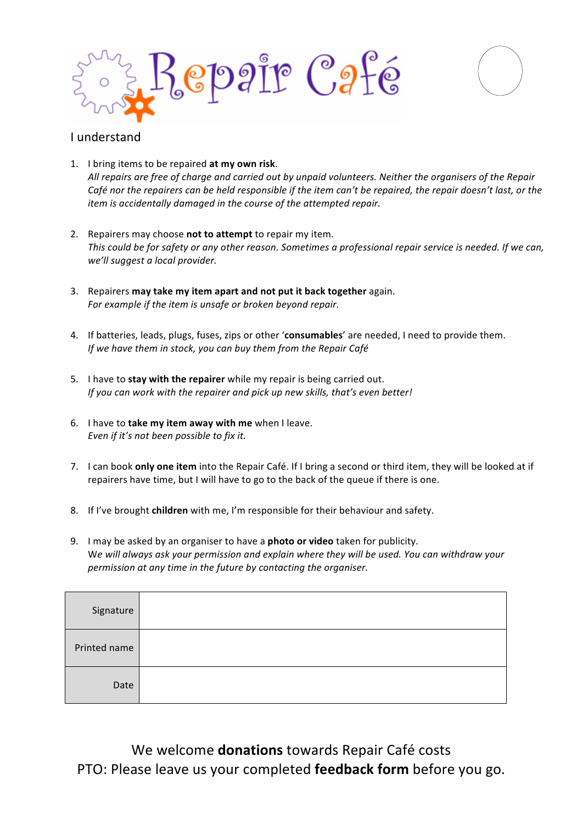



## I understand

- 1. I bring items to be repaired at my own risk. All repairs are free of charge and carried out by unpaid volunteers. Neither the organisers of the Repair *Café nor the repairers can be held responsible if the item can't be repaired, the repair doesn't last, or the item* is accidentally damaged in the course of the attempted repair.
- 2. Repairers may choose not to attempt to repair my item. This could be for safety or any other reason. Sometimes a professional repair service is needed. If we can, we'll suggest a local provider.
- 3. Repairers may take my item apart and not put it back together again. For example if the item is unsafe or broken beyond repair.
- 4. If batteries, leads, plugs, fuses, zips or other 'consumables' are needed, I need to provide them. *If* we have them in stock, you can buy them from the Repair Café
- 5. I have to stay with the repairer while my repair is being carried out. *If* you can work with the repairer and pick up new skills, that's even better!
- 6. I have to take my item away with me when I leave. *Even if it's not been possible to fix it.*
- 7. I can book **only one item** into the Repair Café. If I bring a second or third item, they will be looked at if repairers have time, but I will have to go to the back of the queue if there is one.
- 8. If I've brought **children** with me, I'm responsible for their behaviour and safety.
- 9. I may be asked by an organiser to have a **photo or video** taken for publicity. We will always ask your permission and explain where they will be used. You can withdraw your *permission* at any time in the future by contacting the organiser.

| Signature    |  |
|--------------|--|
| Printed name |  |
| Date         |  |

We welcome **donations** towards Repair Café costs PTO: Please leave us your completed **feedback form** before you go.